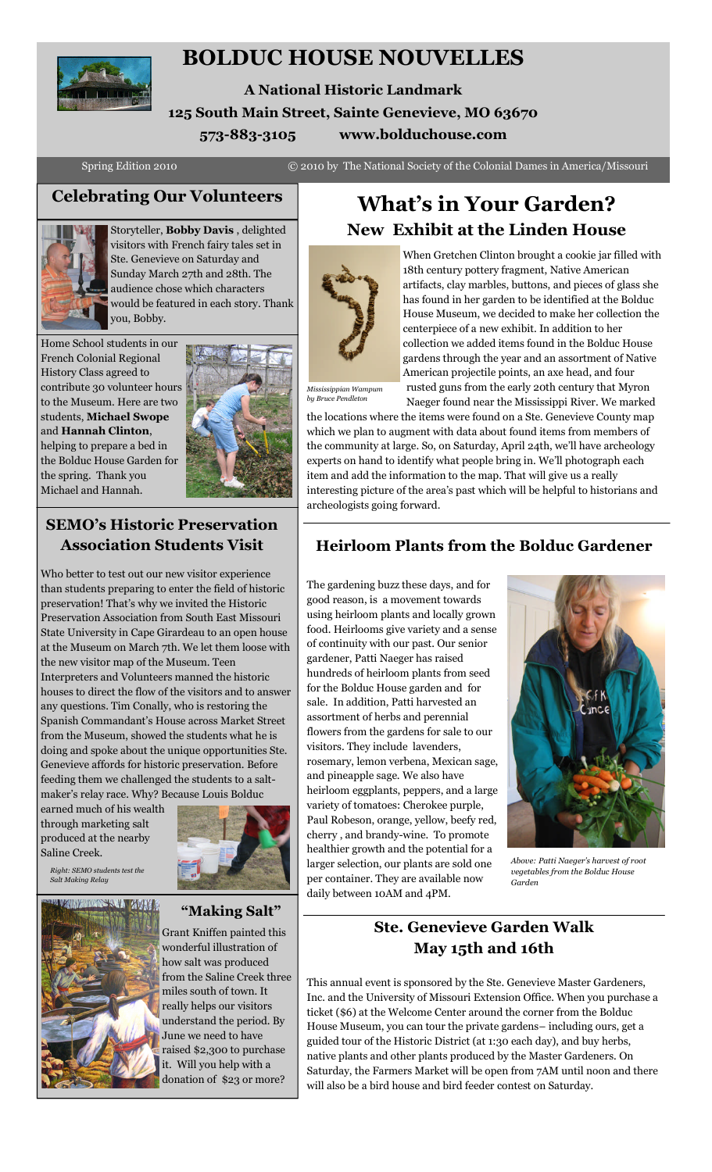

# **BOLDUC HOUSE NOUVELLES**

**A National Historic Landmark 125 South Main Street, Sainte Genevieve, MO 63670 573-883-3105 www.bolduchouse.com**

Spring Edition 2010 © 2010 by The National Society of the Colonial Dames in America/Missouri



Storyteller, **Bobby Davis** , delighted visitors with French fairy tales set in Ste. Genevieve on Saturday and Sunday March 27th and 28th. The audience chose which characters would be featured in each story. Thank you, Bobby.

Home School students in our French Colonial Regional History Class agreed to contribute 30 volunteer hours to the Museum. Here are two students, **Michael Swope** and **Hannah Clinton**, helping to prepare a bed in the Bolduc House Garden for the spring. Thank you Michael and Hannah.



## **SEMO's Historic Preservation Association Students Visit**

Who better to test out our new visitor experience than students preparing to enter the field of historic preservation! That's why we invited the Historic Preservation Association from South East Missouri State University in Cape Girardeau to an open house at the Museum on March 7th. We let them loose with the new visitor map of the Museum. Teen Interpreters and Volunteers manned the historic houses to direct the flow of the visitors and to answer any questions. Tim Conally, who is restoring the Spanish Commandant's House across Market Street from the Museum, showed the students what he is doing and spoke about the unique opportunities Ste. Genevieve affords for historic preservation. Before feeding them we challenged the students to a saltmaker's relay race. Why? Because Louis Bolduc

earned much of his wealth through marketing salt produced at the nearby Saline Creek.

*Right: SEMO students test the Salt Making Relay*

**TAIWAINENSANA AVAT** 

# **"Making Salt"**

Grant Kniffen painted this wonderful illustration of how salt was produced from the Saline Creek three miles south of town. It really helps our visitors understand the period. By June we need to have raised \$2,300 to purchase it. Will you help with a donation of \$23 or more?

# **Celebrating Our Volunteers What's in Your Garden? New Exhibit at the Linden House**



When Gretchen Clinton brought a cookie jar filled with 18th century pottery fragment, Native American artifacts, clay marbles, buttons, and pieces of glass she has found in her garden to be identified at the Bolduc House Museum, we decided to make her collection the centerpiece of a new exhibit. In addition to her collection we added items found in the Bolduc House gardens through the year and an assortment of Native American projectile points, an axe head, and four rusted guns from the early 20th century that Myron

*Mississippian Wampum by Bruce Pendleton*

Naeger found near the Mississippi River. We marked the locations where the items were found on a Ste. Genevieve County map which we plan to augment with data about found items from members of the community at large. So, on Saturday, April 24th, we'll have archeology experts on hand to identify what people bring in. We'll photograph each item and add the information to the map. That will give us a really interesting picture of the area's past which will be helpful to historians and archeologists going forward.

# **Heirloom Plants from the Bolduc Gardener**

The gardening buzz these days, and for good reason, is a movement towards using heirloom plants and locally grown food. Heirlooms give variety and a sense of continuity with our past. Our senior gardener, Patti Naeger has raised hundreds of heirloom plants from seed for the Bolduc House garden and for sale. In addition, Patti harvested an assortment of herbs and perennial flowers from the gardens for sale to our visitors. They include lavenders, rosemary, lemon verbena, Mexican sage, and pineapple sage. We also have heirloom eggplants, peppers, and a large variety of tomatoes: Cherokee purple, Paul Robeson, orange, yellow, beefy red, cherry , and brandy-wine. To promote healthier growth and the potential for a larger selection, our plants are sold one per container. They are available now daily between 10AM and 4PM.



*Above: Patti Naeger's harvest of root vegetables from the Bolduc House Garden*

# **Ste. Genevieve Garden Walk May 15th and 16th**

This annual event is sponsored by the Ste. Genevieve Master Gardeners, Inc. and the University of Missouri Extension Office. When you purchase a ticket (\$6) at the Welcome Center around the corner from the Bolduc House Museum, you can tour the private gardens– including ours, get a guided tour of the Historic District (at 1:30 each day), and buy herbs, native plants and other plants produced by the Master Gardeners. On Saturday, the Farmers Market will be open from 7AM until noon and there will also be a bird house and bird feeder contest on Saturday.